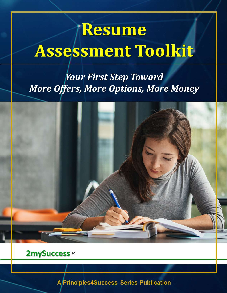# /Resume **Assessment Toolkit**

# **Your First Step Toward More Offers, More Options, More Money**



### 2mySuccess™

**2mySuccess**TM

principles  $\mathcal{A}$  and  $\mathcal{A}$  are the 32 of 32 of 32 of 32 of 32 of 323 of 323 of 323 of 323 of 323 of 323 of 323 of 323 of 323 of 323 of 323 of 323 of 323 of 323 of 323 of 323 of 323 of 323 of 323 of 323 of 323 of 323 **A/Principles4Success Series Publication**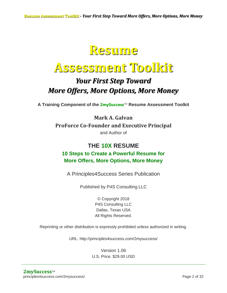## **Resume**

# **Assessment Toolkit**

### *Your First Step Toward More Offers, More Options, More Money*

**A Training Component of the 2mySuccess**TM **Resume Assessment Toolkit**

**Mark A. Galvan ProForce Co-Founder and Executive Principal** and Author of

### **THE 10X RESUME 10 Steps to Create a Powerful Resume for More Offers, More Options, More Money**

A Principles4Success Series Publication

Published by P4S Consulting LLC

© Copyright 2018 P4S Consulting LLC Dallas, Texas USA All Rights Reserved.

Reprinting or other distribution is expressly prohibited unless authorized in writing.

URL: http://principles4success.com/2mysuccess/

Version 1.06 U.S. Price: \$29.00 USD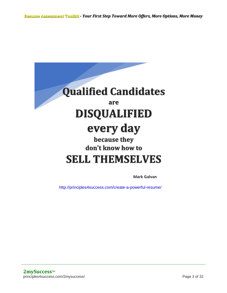

**Mark Galvan**

http://principles4success.com/create-a-powerful-resume/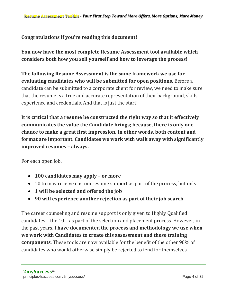#### **Congratulations if you're reading this document!**

**You now have the most complete Resume Assessment tool available which considers both how you sell yourself and how to leverage the process!**

**The following Resume Assessment is the same framework we use for evaluating candidates who will be submitted for open positions.** Before a candidate can be submitted to a corporate client for review, we need to make sure that the resume is a true and accurate representation of their background, skills, experience and credentials. And that is just the start!

**It is critical that a resume be constructed the right way so that it effectively communicates the value the Candidate brings; because, there is only one chance to make a great first impression. In other words, both content and format are important. Candidates we work with walk away with significantly improved resumes – always.**

For each open job,

- **100 candidates may apply – or more**
- 10 to may receive custom resume support as part of the process, but only
- **1 will be selected and offered the job**
- **90 will experience another rejection as part of their job search**

The career counseling and resume support is only given to Highly Qualified candidates – the 10 – as part of the selection and placement process. However, in the past years, **I have documented the process and methodology we use when we work with Candidates to create this assessment and these training components**. These tools are now available for the benefit of the other 90% of candidates who would otherwise simply be rejected to fend for themselves.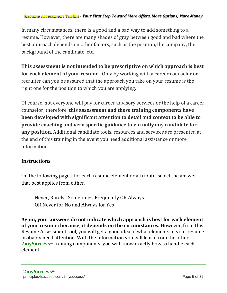#### **Resume Assessment Toolkit** *- Your First Step Toward More Offers, More Options, More Money*

In many circumstances, there is a good and a bad way to add something to a resume. However, there are many shades of gray between good and bad where the best approach depends on other factors, such as the position, the company, the background of the candidate, etc.

**This assessment is not intended to be prescriptive on which approach is best for each element of your resume.** Only by working with a career counselor or recruiter can you be assured that the approach you take on your resume is the right one for the position to which you are applying.

Of course, not everyone will pay for career advisory services or the help of a career counselor; therefore, **this assessment and these training components have been developed with significant attention to detail and context to be able to provide coaching and very specific guidance to virtually any candidate for any position.** Additional candidate tools, resources and services are presented at the end of this training in the event you need additional assistance or more information.

#### **Instructions**

On the following pages, for each resume element or attribute, select the answer that best applies from either,

Never, Rarely, Sometimes, Frequently OR Always OR Never for No and Always for Yes

**Again, your answers do not indicate which approach is best for each element of your resume; because, it depends on the circumstances.** However, from this Resume Assessment tool, you will get a good idea of what elements of your resume probably need attention. With the information you will learn from the other **2mySuccess**™ training components, you will know exactly how to handle each element.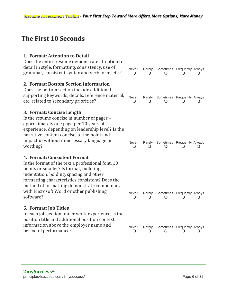### **The First 10 Seconds**

| Never                                             | Rarely<br>$\mathbf{\Omega}$                                                        | $\Omega$                    |   |                                                                                                                                           |
|---------------------------------------------------|------------------------------------------------------------------------------------|-----------------------------|---|-------------------------------------------------------------------------------------------------------------------------------------------|
|                                                   |                                                                                    |                             |   |                                                                                                                                           |
|                                                   |                                                                                    |                             |   |                                                                                                                                           |
|                                                   |                                                                                    |                             |   |                                                                                                                                           |
| Never<br>$\circ$                                  |                                                                                    |                             |   |                                                                                                                                           |
|                                                   |                                                                                    |                             |   |                                                                                                                                           |
|                                                   |                                                                                    |                             |   |                                                                                                                                           |
|                                                   |                                                                                    |                             |   |                                                                                                                                           |
| experience, depending on leadership level? Is the |                                                                                    |                             |   |                                                                                                                                           |
|                                                   |                                                                                    |                             |   |                                                                                                                                           |
| Never                                             | Rarely                                                                             |                             |   |                                                                                                                                           |
|                                                   |                                                                                    |                             |   |                                                                                                                                           |
|                                                   |                                                                                    |                             |   |                                                                                                                                           |
|                                                   |                                                                                    |                             |   |                                                                                                                                           |
|                                                   |                                                                                    |                             |   |                                                                                                                                           |
|                                                   |                                                                                    |                             |   |                                                                                                                                           |
|                                                   |                                                                                    |                             |   |                                                                                                                                           |
| Never                                             | Rarely                                                                             |                             |   |                                                                                                                                           |
|                                                   |                                                                                    |                             |   | $\mathbf\Omega$                                                                                                                           |
|                                                   |                                                                                    |                             |   |                                                                                                                                           |
| In each job section under work experience, is the |                                                                                    |                             |   |                                                                                                                                           |
|                                                   |                                                                                    |                             |   |                                                                                                                                           |
| Never                                             | Rarely                                                                             | Sometimes Frequently Always |   |                                                                                                                                           |
|                                                   | $\circ$<br>supporting keywords, details, reference material,<br>$\circ$<br>$\circ$ | Rarely<br>∩<br>$\cup$       | ∩ | Sometimes Frequently Always<br>Sometimes Frequently Always<br>Sometimes Frequently Always<br>∩<br>Sometimes Frequently Always<br>$\Omega$ |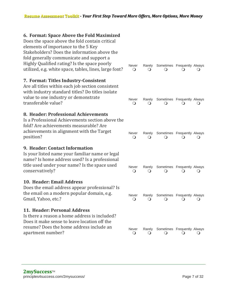#### **6. Format: Space Above the Fold Maximized**

| Does the space above the fold contain critical<br>elements of importance to the 5 Key<br>Stakeholders? Does the information above the<br>fold generally communicate and support a<br>Highly Qualified rating? Is the space poorly<br>utilized, e.g. white space, tables, lines, large font? | Never<br>O            | Rarely<br>$\left( \right)$       | Sometimes Frequently Always                           |                        |        |
|---------------------------------------------------------------------------------------------------------------------------------------------------------------------------------------------------------------------------------------------------------------------------------------------|-----------------------|----------------------------------|-------------------------------------------------------|------------------------|--------|
| 7. Format: Titles Industry-Consistent<br>Are all titles within each job section consistent<br>with industry standard titles? Do titles isolate<br>value to one industry or demonstrate<br>transferable value?                                                                               | Never<br>$\mathsf{O}$ | Ő                                | Rarely Sometimes Frequently Always                    |                        |        |
| 8. Header: Professional Achievements<br>Is a Professional Achievements section above the<br>fold? Are achievements measurable? Are<br>achievements in alignment with the Target<br>position?                                                                                                | <b>Never</b><br>O     | Rarely<br>$\left( \quad \right)$ | Sometimes Frequently Always<br>$\left( \quad \right)$ |                        |        |
| 9. Header: Contact Information<br>Is your listed name your familiar name or legal<br>name? Is home address used? Is a professional<br>title used under your name? Is the space used<br>conservatively?                                                                                      | Never<br>O            | Rarely                           | Sometimes Frequently Always                           |                        | ( )    |
| 10. Header: Email Address<br>Does the email address appear professional? Is<br>the email on a modern popular domain, e.g.<br>Gmail, Yahoo, etc.?                                                                                                                                            | Never<br>$\circ$      | Rarely<br>$\cup$                 | Sometimes Frequently Always<br>Ő                      |                        | $\cup$ |
| 11. Header: Personal Address<br>Is there a reason a home address is included?<br>Does it make sense to leave location off the<br>resume? Does the home address include an<br>apartment number?                                                                                              | Never<br>$\circ$      | Rarely<br>$\Omega$               | Sometimes Frequently Always                           | $\left( \quad \right)$ |        |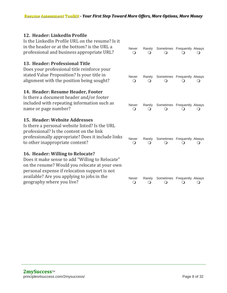#### **12. Header: LinkedIn Profile**

| Is the LinkedIn Profile URL on the resume? Is it<br>in the header or at the bottom? is the URL a<br>professional and business appropriate URL?                                                                                                                   | Never<br>Q            | Rarely      | Sometimes Frequently Always |                             |  |
|------------------------------------------------------------------------------------------------------------------------------------------------------------------------------------------------------------------------------------------------------------------|-----------------------|-------------|-----------------------------|-----------------------------|--|
| 13. Header: Professional Title<br>Does your professional title reinforce your<br>stated Value Proposition? Is your title in<br>alignment with the position being sought?                                                                                         | Never<br>$\circ$      | Rarely      | Sometimes Frequently Always |                             |  |
| 14. Header: Resume Header, Footer<br>Is there a document header and/or footer<br>included with repeating information such as<br>name or page number?                                                                                                             | Never<br>$\circ$      | Rarely      | Sometimes Frequently Always |                             |  |
| 15. Header: Website Addresses<br>Is there a personal website listed? Is the URL<br>professional? Is the content on the link<br>professionally appropriate? Does it include links<br>to other inappropriate content?                                              | Never<br>$\circ$      | Rarely      | Sometimes Frequently Always |                             |  |
| 16. Header: Willing to Relocate?<br>Does it make sense to add "Willing to Relocate"<br>on the resume? Would you relocate at your own<br>personal expense if relocation support is not<br>available? Are you applying to jobs in the<br>geography where you live? | Never<br>$\mathsf{O}$ | Rarely<br>O | O                           | Sometimes Frequently Always |  |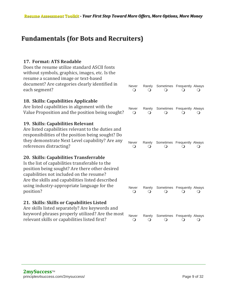### **Fundamentals (for Bots and Recruiters)**

#### **17. Format: ATS Readable**

| Does the resume utilize standard ASCII fonts<br>without symbols, graphics, images, etc. Is the<br>resume a scanned image or text-based                                                                                                                                                                  |                              |                    |                                                              |
|---------------------------------------------------------------------------------------------------------------------------------------------------------------------------------------------------------------------------------------------------------------------------------------------------------|------------------------------|--------------------|--------------------------------------------------------------|
| document? Are categories clearly identified in<br>each segment?                                                                                                                                                                                                                                         | Never<br>O                   | Rarely<br>$\Omega$ | Sometimes Frequently Always                                  |
| 18. Skills: Capabilities Applicable<br>Are listed capabilities in alignment with the<br>Value Proposition and the position being sought?                                                                                                                                                                | Never<br>$\Omega$            | Rarely<br>$\Omega$ | Sometimes Frequently Always<br>$\left( \quad \right)$<br>( ) |
| 19. Skills: Capabilities Relevant<br>Are listed capabilities relevant to the duties and<br>responsibilities of the position being sought? Do<br>they demonstrate Next Level capability? Are any<br>references distracting?                                                                              | Never<br>$\circ$             | Rarely<br>$\Omega$ | Sometimes Frequently Always<br>0                             |
| 20. Skills: Capabilities Transferrable<br>Is the list of capabilities transferable to the<br>position being sought? Are there other desired<br>capabilities not included on the resume?<br>Are the skills and capabilities listed described<br>using industry-appropriate language for the<br>position? | <b>Never</b><br>$\mathsf{O}$ | Rarely<br>$\Omega$ | Sometimes Frequently Always<br>(၂                            |
| 21. Skills: Skills or Capabilities Listed<br>Are skills listed separately? Are keywords and<br>keyword phrases properly utilized? Are the most<br>relevant skills or capabilities listed first?                                                                                                         | Never<br>$\circ$             | Rarely<br>$\cup$   | Sometimes Frequently Always<br>$\cup$                        |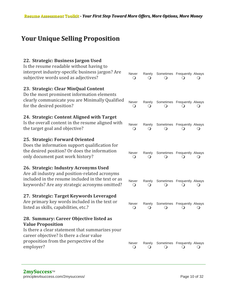### **Your Unique Selling Proposition**

| 22. Strategic: Business Jargon Used<br>Is the resume readable without having to<br>interpret industry-specific business jargon? Are<br>subjective words used as adjectives?                                                | Never<br>$\circ$    | Rarely            | Sometimes Frequently Always           |              |                 |
|----------------------------------------------------------------------------------------------------------------------------------------------------------------------------------------------------------------------------|---------------------|-------------------|---------------------------------------|--------------|-----------------|
| 23. Strategic: Clear MinQual Content<br>Do the most prominent information elements<br>clearly communicate you are Minimally Qualified<br>for the desired position?                                                         | Never<br>$\Omega$   | Rarely            | Sometimes Frequently Always           |              |                 |
| 24. Strategic: Content Aligned with Target<br>Is the overall content in the resume aligned with<br>the target goal and objective?                                                                                          | Never<br>$\Omega$   | Rarely            | Sometimes Frequently Always           |              |                 |
| 25. Strategic: Forward Oriented<br>Does the information support qualification for<br>the desired position? Or does the information<br>only document past work history?                                                     | Never<br>O          | Rarely            | Sometimes Frequently Always           |              |                 |
| 26. Strategic: Industry Acronyms Used<br>Are all industry and position-related acronyms<br>included in the resume included in the text or as<br>keywords? Are any strategic acronyms omitted?                              | Never<br>$\bigcirc$ | Rarely            | Sometimes Frequently Always           |              |                 |
| 27. Strategic: Target Keywords Leveraged<br>Are primary key words included in the text or<br>listed as skills, capabilities, etc.?                                                                                         | Never<br>Ő          | Rarely            | Sometimes Frequently Always           |              |                 |
| 28. Summary: Career Objective listed as<br><b>Value Proposition</b><br>Is there a clear statement that summarizes your<br>career objective? Is there a clear value<br>proposition from the perspective of the<br>employer? | Never<br>$\bigcirc$ | Rarely<br>$\circ$ | Sometimes Frequently Always<br>$\cup$ | $\mathsf{O}$ | $\mathbf\Omega$ |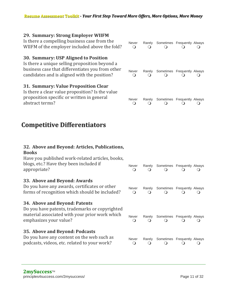#### **29. Summary: Strong Employer WIIFM**

| Is there a compelling business case from the<br>WIIFM of the employer included above the fold?                                                                                             | Never<br>$\Omega$ | Rarely<br>$\Omega$         | Sometimes Frequently Always<br>∩ | $\left( \right)$ |  |
|--------------------------------------------------------------------------------------------------------------------------------------------------------------------------------------------|-------------------|----------------------------|----------------------------------|------------------|--|
| 30. Summary: USP Aligned to Position<br>Is there a unique selling proposition beyond a<br>business case that differentiates you from other<br>candidates and is aligned with the position? | Never<br>$\Omega$ | Rarely<br>$\left( \right)$ | Sometimes Frequently Always      |                  |  |
| 31. Summary: Value Proposition Clear<br>Is there a clear value proposition? Is the value<br>proposition specific or written in general<br>abstract terms?                                  | Never<br>$\Omega$ | Rarely<br>$\Omega$         | Sometimes Frequently Always      |                  |  |

### **Competitive Differentiators**

#### **32. Above and Beyond: Articles, Publications, Books** Have you published work-related articles, books, blogs, etc.? Have they been included if appropriate? Never Rarely Sometimes Frequently Always  $\begin{matrix} 0 & 0 & 0 & 0 & 0 \end{matrix}$ **33. Above and Beyond: Awards** Do you have any awards, certificates or other forms of recognition which should be included? Never Rarely Sometimes Frequently Always  $\begin{matrix} 0 & 0 & 0 & 0 & 0 \end{matrix}$ **34. Above and Beyond: Patents** Do you have patents, trademarks or copyrighted material associated with your prior work which emphasizes your value? Never Rarely Sometimes Frequently Always  $\begin{matrix} 0 & 0 & 0 & 0 & 0 \end{matrix}$ **35. Above and Beyond: Podcasts** Do you have any content on the web such as podcasts, videos, etc. related to your work? Never Rarely Sometimes Frequently Always  $\begin{matrix} 0 & 0 & 0 & 0 & 0 \end{matrix}$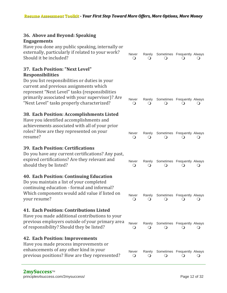| 36. Above and Beyond: Speaking                                                                                                                                                                                                              |                       |                                  |                                               |                |                 |
|---------------------------------------------------------------------------------------------------------------------------------------------------------------------------------------------------------------------------------------------|-----------------------|----------------------------------|-----------------------------------------------|----------------|-----------------|
| <b>Engagements</b><br>Have you done any public speaking, internally or<br>externally, particularly if related to your work?<br>Should it be included?                                                                                       | Never<br>$\cup$       | Rarely                           | Sometimes Frequently Always                   |                |                 |
| 37. Each Position: "Next Level"<br><b>Responsibilities</b>                                                                                                                                                                                  |                       |                                  |                                               |                |                 |
| Do you list responsibilities or duties in your<br>current and previous assignments which<br>represent "Next Level" tasks (responsibilities<br>primarily associated with your supervisor)? Are<br>"Next Level" tasks properly characterized? | Never<br>$\circ$      | Rarely<br>Ő                      | Sometimes Frequently Always<br>$\Omega$       | $\Omega$       |                 |
| 38. Each Position: Accomplishments Listed<br>Have you identified accomplishments and<br>achievements associated with all of your prior<br>roles? How are they represented on your<br>resume?                                                | Never<br>$\circ$      | Rarely<br>$\left( \quad \right)$ | Sometimes Frequently Always                   |                |                 |
| <b>39. Each Position: Certifications</b><br>Do you have any current certifications? Any past,<br>expired certifications? Are they relevant and<br>should they be listed?                                                                    | Never<br>$\mathbf{O}$ | Rarely<br>$\Omega$               | Sometimes Frequently Always                   | $\Omega$       | $\mathbf\Omega$ |
| <b>40. Each Position: Continuing Education</b><br>Do you maintain a list of your completed<br>continuing education - formal and informal?<br>Which components would add value if listed on<br>your resume?                                  | Never<br>$\circ$      | $\cup$                           | Rarely Sometimes Frequently Always<br>$\circ$ | $\overline{Q}$ |                 |
| <b>41. Each Position: Contributions Listed</b><br>Have you made additional contributions to your<br>previous employers outside of your primary area<br>of responsibility? Should they be listed?                                            | Never<br>$\Omega$     | Rarely                           | Sometimes Frequently Always                   |                |                 |
| <b>42. Each Position: Improvements</b><br>Have you made process improvements or<br>enhancements of any other kind in your<br>previous positions? How are they represented?                                                                  | Never<br>$\Omega$     | Rarely                           | Sometimes Frequently Always                   |                |                 |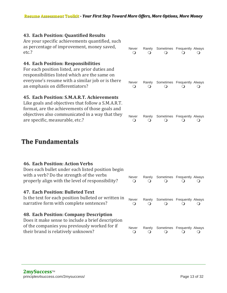Never Rarely Sometimes Frequently Always  $\begin{matrix} 0 & 0 & 0 & 0 & 0 \end{matrix}$ 

Never Rarely Sometimes Frequently Always  $\begin{matrix} 0 & 0 & 0 & 0 & 0 \end{matrix}$ 

Never Rarely Sometimes Frequently Always  $\begin{matrix} 0 & 0 & 0 & 0 & 0 \end{matrix}$ 

#### **43. Each Position: Quantified Results**

Are your specific achievements quantified, such as percentage of improvement, money saved, etc.?

#### **44. Each Position: Responsibilities**

For each position listed, are prior duties and responsibilities listed which are the same on everyone's resume with a similar job or is there an emphasis on differentiators?

#### **45. Each Position: S.M.A.R.T. Achievements**

Like goals and objectives that follow a S.M.A.R.T. format, are the achievements of those goals and objectives also communicated in a way that they are specific, measurable, etc.?

### **The Fundamentals**

| <b>46. Each Position: Action Verbs</b><br>Does each bullet under each listed position begin<br>with a verb? Do the strength of the verbs<br>properly align with the level of responsibility? | Never<br>∩ | Rarely<br>∩        | Sometimes Frequently Always<br>∩                | $\left( \right)$ |  |
|----------------------------------------------------------------------------------------------------------------------------------------------------------------------------------------------|------------|--------------------|-------------------------------------------------|------------------|--|
| <b>47. Each Position: Bulleted Text</b><br>Is the text for each position bulleted or written in<br>narrative form with complete sentences?                                                   | Never<br>O | Rarely<br>$\Omega$ | Sometimes Frequently Always<br>$\left( \right)$ | $\left( \right)$ |  |
| 48. Each Position: Company Description<br>Does it make sense to include a brief description<br>of the companies you previously worked for if<br>their brand is relatively unknown?           | Never<br>∩ | Rarely<br>∩        | Sometimes Frequently Always                     |                  |  |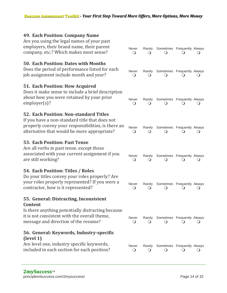| 49. Each Position: Company Name<br>Are you using the legal names of your past<br>employers, their brand name, their parent<br>company, etc.? Which makes most sense?                          | Never<br>O            | Rarely<br>$\Omega$ | Sometimes Frequently Always             |        |  |
|-----------------------------------------------------------------------------------------------------------------------------------------------------------------------------------------------|-----------------------|--------------------|-----------------------------------------|--------|--|
| 50. Each Position: Dates with Months<br>Does the period of performance listed for each<br>job assignment include month and year?                                                              | Never<br>$\circ$      | Rarely             | Sometimes Frequently Always             |        |  |
| 51. Each Position: How Acquired<br>Does it make sense to include a brief description<br>about how you were retained by your prior<br>emplayer(s)?                                             | Never<br>$\Omega$     | Rarely             | Sometimes Frequently Always             |        |  |
| 52. Each Position: Non-standard Titles<br>If you have a non-standard title that does not<br>properly convey your responsibilities, is there an<br>alternative that would be more appropriate? | Never<br>$\Omega$     | Rarely             | Sometimes Frequently Always             |        |  |
| <b>53. Each Position: Past Tense</b><br>Are all verbs in past tense, except those<br>associated with your current assignment if you<br>are still working?                                     | Never<br>$\mathsf{O}$ | Rarely<br>(၂       | Sometimes Frequently Always             |        |  |
| 54. Each Position: Titles / Roles<br>Do your titles convey your roles properly? Are<br>your roles properly represented? If you were a<br>contractor, how is it represented?                   | Never<br>$\circ$      | Rarely<br>$\Omega$ | Sometimes Frequently Always             |        |  |
| 55. General: Distracting, Inconsistent<br><b>Content</b>                                                                                                                                      |                       |                    |                                         |        |  |
| Is there anything potentially distracting because<br>it is not consistent with the overall theme,<br>message and direction of the resume?                                                     | Never<br>$\circ$      | Rarely<br>O        | Sometimes Frequently Always<br>$\Omega$ |        |  |
| 56. General: Keywords, Industry-specific<br>(level 1)                                                                                                                                         |                       |                    |                                         |        |  |
| Are level one, industry specific keywords,<br>included in each section for each position?                                                                                                     | Never<br>$\bigcirc$   | Rarely<br>$\cup$   | Sometimes Frequently Always<br>$\Omega$ | $\cup$ |  |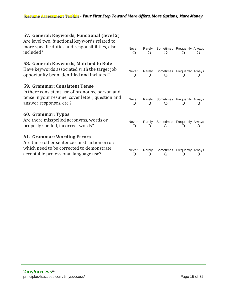| 57. General: Keywords, Functional (level 2)<br>Are level two, functional keywords related to<br>more specific duties and responsibilities, also<br>included?           | <b>Never</b><br>$\circ$ | Rarely      | Sometimes Frequently Always |   |
|------------------------------------------------------------------------------------------------------------------------------------------------------------------------|-------------------------|-------------|-----------------------------|---|
| 58. General: Keywords, Matched to Role<br>Have keywords associated with the target job<br>opportunity been identified and included?                                    | Never<br>0              | Rarely      | Sometimes Frequently Always |   |
| <b>59. Grammar: Consistent Tense</b><br>Is there consistent use of pronouns, person and<br>tense in your resume, cover letter, question and<br>answer responses, etc.? | Never<br>$\circ$        | Rarely      | Sometimes Frequently Always |   |
| 60. Grammar: Typos<br>Are there misspelled acronyms, words or<br>properly spelled, incorrect words?                                                                    | Never<br>$\bigcirc$     | Rarely<br>Q | Sometimes Frequently Always | Ő |
| 61. Grammar: Wording Errors<br>Are there other sentence construction errors<br>which need to be corrected to demonstrate<br>acceptable professional language use?      | Never<br>O              | Rarely      | Sometimes Frequently Always |   |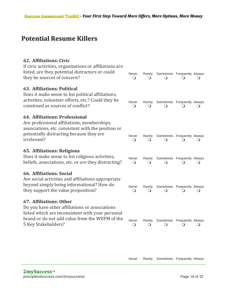### **Potential Resume Killers**

#### **62. Affiliations: Civic**

| If civic activities, organizations or affiliations are<br>listed, are they potential distractors or could<br>they be sources of concern?                                                                | Never<br>$\circ$  | Rarely<br>$\Omega$ | Sometimes Frequently Always<br>$\Omega$ | $\Omega$ |        |
|---------------------------------------------------------------------------------------------------------------------------------------------------------------------------------------------------------|-------------------|--------------------|-----------------------------------------|----------|--------|
| <b>63. Affiliations: Political</b><br>Does it make sense to list political affiliations,<br>activities, volunteer efforts, etc.? Could they be<br>construed as sources of conflict?                     | Never<br>Q        | Rarely<br>$\Omega$ | Sometimes Frequently Always<br>$\Omega$ |          |        |
| 64. Affiliations: Professional<br>Are professional affiliations, memberships,<br>associations, etc. consistent with the position or<br>potentially distracting because they are<br>irrelevant?          | Never<br>$\Omega$ | Rarely<br>$\Omega$ | Sometimes Frequently Always<br>$\Omega$ |          |        |
| <b>65. Affiliations: Religious</b><br>Does it make sense to list religious activities,<br>beliefs, associations, etc. or are they distracting?                                                          | Never<br>$\Omega$ | Rarely<br>$\Omega$ | Sometimes Frequently Always             |          | ()     |
| <b>66. Affiliations: Social</b><br>Are social activities and affiliations appropriate<br>beyond simply being informational? How do<br>they support the value proposition?                               | Never<br>$\circ$  | Rarely<br>$\Omega$ | Sometimes Frequently Always<br>$\Omega$ | $\Omega$ | $\cup$ |
| 67. Affiliations: Other<br>Do you have other affiliations or associations<br>listed which are inconsistent with your personal<br>brand or do not add value from the WIIFM of the<br>5 Key Stakeholders? | Never<br>$\circ$  | Rarely<br>$\Omega$ | Sometimes Frequently Always             |          |        |
|                                                                                                                                                                                                         |                   |                    |                                         |          |        |

Never Rarely Sometimes Frequently Always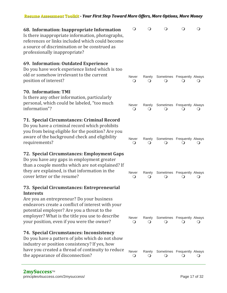#### **Resume Assessment Toolkit** *- Your First Step Toward More Offers, More Options, More Money*

| 68. Information: Inappropriate Information<br>Is there inappropriate information, photographs,<br>references or links included which could become<br>a source of discrimination or be construed as<br>professionally inappropriate?                                                 | $\Omega$                      | Q                  | ∩                           | O |  |
|-------------------------------------------------------------------------------------------------------------------------------------------------------------------------------------------------------------------------------------------------------------------------------------|-------------------------------|--------------------|-----------------------------|---|--|
| 69. Information: Outdated Experience<br>Do you have work experience listed which is too<br>old or somehow irrelevant to the current<br>position of interest?                                                                                                                        | Never<br>$\circ$              | Rarely<br>$\Omega$ | Sometimes Frequently Always |   |  |
| <b>70. Information: TMI</b><br>Is there any other information, particularly<br>personal, which could be labeled, "too much<br>information"?                                                                                                                                         | Never<br>O                    | Rarely<br>$\Omega$ | Sometimes Frequently Always |   |  |
| 71. Special Circumstances: Criminal Record<br>Do you have a criminal record which prohibits<br>you from being eligible for the position? Are you<br>aware of the background check and eligibility<br>requirements?                                                                  | Never<br>$\bigcirc$           | Rarely<br>$\Omega$ | Sometimes Frequently Always |   |  |
| 72. Special Circumstances: Employment Gaps<br>Do you have any gaps in employment greater<br>than a couple months which are not explained? If<br>they are explained, is that information in the<br>cover letter or the resume?                                                       | Never<br>O                    | Rarely<br>$\Omega$ | Sometimes Frequently Always |   |  |
| 73. Special Circumstances: Entrepreneurial<br><b>Interests</b><br>Are you an entrepreneur? Do your business<br>endeavors create a conflict of interest with your<br>potential employer? Are you a threat to the<br>employer? What is the title you use to describe                  | Never                         | Rarely             | Sometimes Frequently Always |   |  |
| your position, even if you were the owner?<br>74. Special Circumstances: Inconsistency<br>Do you have a pattern of jobs which do not show<br>industry or position consistency? If yes, how<br>have you created a thread of continuity to reduce<br>the appearance of disconnection? | $\Omega$<br>Never<br>$\Omega$ | Rarely<br>$\cup$   | Sometimes Frequently Always |   |  |
|                                                                                                                                                                                                                                                                                     |                               |                    |                             |   |  |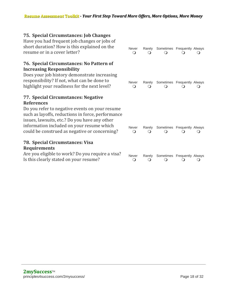Never Rarely Sometimes Frequently Always  $\begin{matrix} 0 & 0 & 0 & 0 & 0 \end{matrix}$ 

Never Rarely Sometimes Frequently Always  $\begin{matrix} 0 & 0 & 0 & 0 & 0 \end{matrix}$ 

Never Rarely Sometimes Frequently Always  $\begin{matrix} 0 & 0 & 0 & 0 & 0 \end{matrix}$ 

Sometimes Frequently Always

#### **75. Special Circumstances: Job Changes**

Have you had frequent job changes or jobs of short duration? How is this explained on the resume or in a cover letter?

#### **76. Special Circumstances: No Pattern of Increasing Responsibility**

Does your job history demonstrate increasing responsibility? If not, what can be done to highlight your readiness for the next level?

#### **77. Special Circumstances: Negative References**

Do you refer to negative events on your resume such as layoffs, reductions in force, performance issues, lawsuits, etc.? Do you have any other information included on your resume which could be construed as negative or concerning?

#### **78. Special Circumstances: Visa Requirements**

| Are you eligible to work? Do you require a visa? |                               | Never Rarely Sometimes Frequently Alwa |    |
|--------------------------------------------------|-------------------------------|----------------------------------------|----|
| Is this clearly stated on your resume?           | $\bullet$ $\bullet$ $\bullet$ | $\bigcirc$ $\bigcirc$                  | ○○ |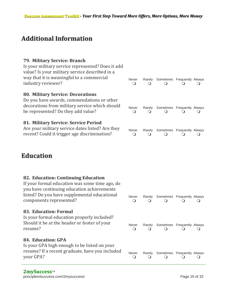### **Additional Information**

#### **79. Military Service: Branch**

| Is your military service represented? Does it add<br>value? Is your military service described in a<br>way that it is meaningful to a commercial<br>industry reviewer?         | <b>Never</b><br>Q               | Rarely<br>Q | Sometimes Frequently Always              | $\Omega$ | $\blacksquare$       |
|--------------------------------------------------------------------------------------------------------------------------------------------------------------------------------|---------------------------------|-------------|------------------------------------------|----------|----------------------|
| <b>80. Military Service: Decorations</b><br>Do you have awards, commendations or other<br>decorations from military service which should<br>be represented? Do they add value? | <b>Never</b><br>Q               | Rarely<br>∩ | Sometimes Frequently Always<br>$\bigcap$ | $\Omega$ | $\ddot{\phantom{1}}$ |
| 81. Military Service: Service Period<br>Are your military service dates listed? Are they<br>recent? Could it trigger age discrimination?                                       | Never<br>$\left( \quad \right)$ | Rarelv      | Sometimes Frequently Always              |          |                      |

### **Education**

| 82. Education: Continuing Education<br>If your formal education was some time ago, do<br>you have continuing education achievements<br>listed? Do you have supplemental educational<br>components represented? | Never<br>O        | Rarely<br>$\Omega$ | Sometimes Frequently Always<br>$\Omega$ | Ο. |  |
|----------------------------------------------------------------------------------------------------------------------------------------------------------------------------------------------------------------|-------------------|--------------------|-----------------------------------------|----|--|
| 83. Education: Formal<br>Is your formal education properly included?<br>Should it be at the header or footer of your<br>resume?                                                                                | Never<br>$\Omega$ | Rarely<br>$\Omega$ | Sometimes Frequently Always             |    |  |
| 84. Education: GPA<br>Is your GPA high enough to be listed on your<br>resume? If a recent graduate, have you included<br>your GPA?                                                                             | Never<br>∩        |                    | Rarely Sometimes Frequently Always      |    |  |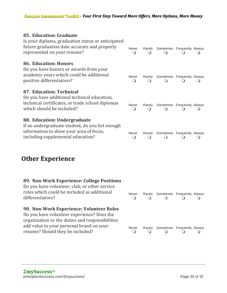#### **85. Education: Graduate**

| Is your diploma, graduation status or anticipated<br>future graduation date accurate and properly<br>represented on your resume?                                | Never<br>∩              | Rarely      | Sometimes Frequently Always |  |
|-----------------------------------------------------------------------------------------------------------------------------------------------------------------|-------------------------|-------------|-----------------------------|--|
| <b>86. Education: Honors</b><br>Do you have honors or awards from your<br>academic years which could be additional<br>positive differentiators?                 | <b>Never</b><br>$\circ$ | Rarely      | Sometimes Frequently Always |  |
| 87. Education: Technical<br>Do you have additional technical education,<br>technical certificates, or trade school diplomas<br>which should be included?        | <b>Never</b><br>O       | Rarely<br>O | Sometimes Frequently Always |  |
| 88. Education: Undergraduate<br>If an undergraduate student, do you list enough<br>information to show your area of focus,<br>including supplemental education? | Never<br>Q              | Rarely      | Sometimes Frequently Always |  |

### **Other Experience**

#### **89. Non-Work Experience: College Positions**

Do you have volunteer, club, or other service roles which could be included as additional differentiators? Never Rarely Sometimes Frequently Always  $\begin{matrix} 0 & 0 & 0 & 0 & 0 \end{matrix}$ **90. Non-Work Experience: Volunteer Roles** Do you have volunteer experience? Does the organization or the duties and responsibilities add value to your personal brand on your resume? Should they be included? Never Rarely Sometimes Frequently Always  $\begin{matrix} 0 & 0 & 0 & 0 & 0 \end{matrix}$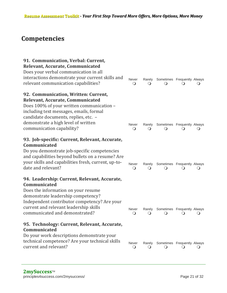### **Competencies**

| 91. Communication, Verbal: Current,<br>Relevant, Accurate, Communicated<br>Does your verbal communication in all<br>interactions demonstrate your current skills and<br>relevant communication capabilities?                                                                 | Never<br>O               | Rarely<br>$\left( \ \right)$ | Sometimes Frequently Always                    |         |                  |
|------------------------------------------------------------------------------------------------------------------------------------------------------------------------------------------------------------------------------------------------------------------------------|--------------------------|------------------------------|------------------------------------------------|---------|------------------|
| 92. Communication, Written: Current,<br>Relevant, Accurate, Communicated<br>Does 100% of your written communication -<br>including text messages, emails, formal<br>candidate documents, replies, etc. -<br>demonstrate a high level of written<br>communication capability? | Never<br>$\circ$         | Rarely                       | Sometimes Frequently Always                    |         |                  |
| 93. Job-specific: Current, Relevant, Accurate,<br>Communicated<br>Do you demonstrate job-specific competencies<br>and capabilities beyond bullets on a resume? Are<br>your skills and capabilities fresh, current, up-to-<br>date and relevant?                              | <b>Never</b><br>$\Omega$ | Rarely                       | Sometimes Frequently Always                    |         |                  |
| 94. Leadership: Current, Relevant, Accurate,<br>Communicated<br>Does the information on your resume<br>demonstrate leadership competency?<br>Independent contributor competency? Are your<br>current and relevant leadership skills<br>communicated and demonstrated?        | Never<br>$\circ$         | $\Omega$                     | Rarely Sometimes Frequently Always<br>$\Omega$ |         |                  |
| 95. Technology: Current, Relevant, Accurate,<br>Communicated<br>Do your work descriptions demonstrate your<br>technical competence? Are your technical skills<br>current and relevant?                                                                                       | Never<br>$\circ$         | Rarely<br>$\cup$             | Sometimes Frequently Always<br>$\cup$          | $\circ$ | $\mathbf \Omega$ |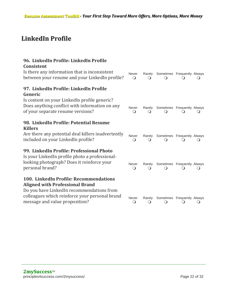### **LinkedIn Profile**

| 96. LinkedIn Profile: LinkedIn Profile<br><b>Consistent</b>                                                                         |                     |             |                                         |   |        |
|-------------------------------------------------------------------------------------------------------------------------------------|---------------------|-------------|-----------------------------------------|---|--------|
| Is there any information that is inconsistent<br>between your resume and your LinkedIn profile?                                     | Never<br>$\Omega$   | Rarely      | Sometimes Frequently Always             |   |        |
| 97. LinkedIn Profile: LinkedIn Profile<br>Generic                                                                                   |                     |             |                                         |   |        |
| Is content on your LinkedIn profile generic?<br>Does anything conflict with information on any<br>of your separate resume versions? | Never<br>$\Omega$   | Rarely      | Sometimes Frequently Always             |   |        |
| 98. LinkedIn Profile: Potential Resume<br><b>Killers</b>                                                                            |                     |             |                                         |   |        |
| Are there any potential deal killers inadvertently<br>included on your LinkedIn profile?                                            | Never<br>$\Omega$   | Rarely      | Sometimes Frequently Always             |   |        |
| 99. LinkedIn Profile: Professional Photo                                                                                            |                     |             |                                         |   |        |
| Is your LinkedIn profile photo a professional-<br>looking photograph? Does it reinforce your<br>personal brand?                     | Never<br>$\bigcirc$ | Rarely<br>∩ | Sometimes Frequently Always<br>$\Omega$ |   |        |
| 100. LinkedIn Profile: Recommendations                                                                                              |                     |             |                                         |   |        |
| <b>Aligned with Professional Brand</b>                                                                                              |                     |             |                                         |   |        |
| Do you have LinkedIn recommendations from                                                                                           |                     |             |                                         |   |        |
| colleagues which reinforce your personal brand<br>message and value proposition?                                                    | Never<br>$\bigcirc$ | Rarely<br>O | Sometimes Frequently Always<br>$\circ$  | Ő | $\cup$ |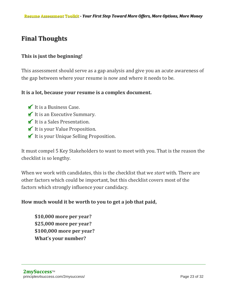### **Final Thoughts**

#### **This is just the beginning!**

This assessment should serve as a gap analysis and give you an acute awareness of the gap between where your resume is now and where it needs to be.

#### **It is a lot, because your resume is a complex document.**

- It is a Business Case.
- It is an Executive Summary.
- It is a Sales Presentation.
- It is your Value Proposition.
- It is your Unique Selling Proposition.

It must compel 5 Key Stakeholders to want to meet with you. That is the reason the checklist is so lengthy.

When we work with candidates, this is the checklist that we *start* with. There are other factors which could be important, but this checklist covers most of the factors which strongly influence your candidacy.

#### **How much would it be worth to you to get a job that paid,**

**\$10,000 more per year? \$25,000 more per year? \$100,000 more per year? What's your number?**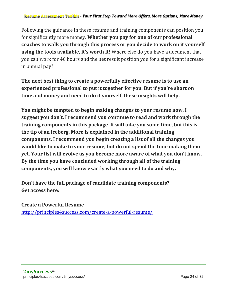#### **Resume Assessment Toolkit** *- Your First Step Toward More Offers, More Options, More Money*

Following the guidance in these resume and training components can position you for significantly more money. **Whether you pay for one of our professional coaches to walk you through this process or you decide to work on it yourself using the tools available, it's worth it!** Where else do you have a document that you can work for 40 hours and the net result position you for a significant increase in annual pay?

**The next best thing to create a powerfully effective resume is to use an experienced professional to put it together for you. But if you're short on time and money and need to do it yourself, these insights will help.**

**You might be tempted to begin making changes to your resume now. I suggest you don't. I recommend you continue to read and work through the training components in this package. It will take you some time, but this is the tip of an iceberg. More is explained in the additional training components. I recommend you begin creating a list of all the changes you would like to make to your resume, but do not spend the time making them yet. Your list will evolve as you become more aware of what you don't know. By the time you have concluded working through all of the training components, you will know exactly what you need to do and why.**

**Don't have the full package of candidate training components? Get access here:** 

**Create a Powerful Resume** <http://principles4success.com/create-a-powerful-resume/>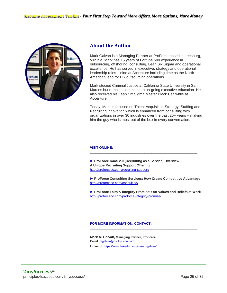

#### **About the Author**

Mark Galvan is a Managing Partner at ProForce based in Leesburg, Virginia. Mark has 15 years of Fortune 500 experience in outsourcing, offshoring, consulting, Lean Six Sigma and operational excellence. He has served in executive, strategy and operational leadership roles – nine at Accenture including time as the North American lead for HR outsourcing operations.

Mark studied Criminal Justice at California State University in San Marcos but remains committed to on-going executive education. He also received his Lean Six Sigma Master Black Belt while at Accenture.

Today, Mark is focused on Talent Acquisition Strategy, Staffing and Recruiting innovation which is enhanced from consulting with organizations in over 30 industries over the past 20+ years – making him the guy who is most out of the box in every conversation.

#### **VISIT ONLINE:**

**► ProForce RaaS 2.0 (Recruiting as a Service) Overview A Unique Recruiting Support Offering** <http://proforceco.com/recruiting-support/>

**► ProForce Consulting Services: How Create Competitive Advantage** <http://proforceco.com/consulting/>

\_\_\_\_\_\_\_\_\_\_\_\_\_\_\_\_\_\_\_\_\_\_\_\_\_\_\_\_\_\_\_\_\_\_\_\_\_\_\_\_\_\_\_\_\_\_\_\_\_\_\_\_\_\_\_\_\_\_\_\_\_

**► ProForce Faith & Integrity Promise: Our Values and Beliefs at Work** <http://proforceco.com/proforce-integrity-promise/>

\_\_\_\_\_\_\_\_\_\_\_\_\_\_\_\_\_\_\_\_\_\_\_\_\_\_\_\_\_\_\_\_\_\_\_\_\_\_\_\_\_\_\_\_\_\_\_\_\_\_\_\_\_\_\_\_\_\_\_\_\_

#### **FOR MORE INFORMATION, CONTACT:**

**Mark A. Galvan, Managing Partner, ProForce Email**: [mgalvan@proforceco.com](mailto:mgalvan@proforceco.com) **LinkedIn**: <https://www.linkedin.com/in/markgalvan/>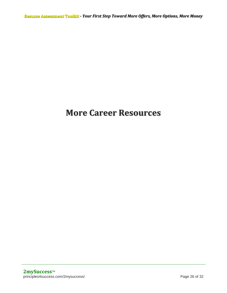**Resume Assessment Toolkit** *- Your First Step Toward More Offers, More Options, More Money*

### **More Career Resources**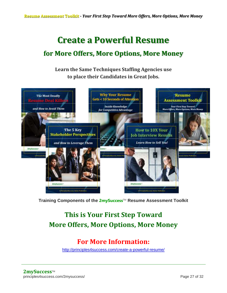### **Create a Powerful Resume**

### **for More Offers, More Options, More Money**

**Learn the Same Techniques Staffing Agencies use to place their Candidates in Great Jobs.**



**Training Components of the 2mySuccess**TM **Resume Assessment Toolkit**

### **This is Your First Step Toward More Offers, More Options, More Money**

### **For More Information:**

<http://principles4success.com/create-a-powerful-resume/>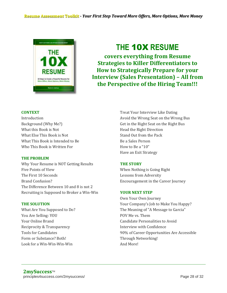

### **THE** 10X **RESUME**

**covers everything from Resume Strategies to Killer Differentiators to How to Strategically Prepare for your Interview (Sales Presentation) – All from the Perspective of the Hiring Team!!!**

#### **CONTEXT**

Introduction Background (Why Me?) What this Book is Not What Else This Book is Not What This Book is Intended to Be Who This Book is Written For

#### **THE PROBLEM**

Why Your Resume is NOT Getting Results Five Points of View The First 10 Seconds Brand Confusion? The Difference Between 10 and 8 is not 2 Recruiting is Supposed to Broker a Win-Win

#### **THE SOLUTION**

What Are You Supposed to Do? You Are Selling: YOU Your Online Brand Reciprocity & Transparency Tools for Candidates Form or Substance? Both! Look for a Win-Win-Win-Win

Treat Your Interview Like Dating Avoid the Wrong Seat on the Wrong Bus Get in the Right Seat on the Right Bus Head the Right Direction Stand Out from the Pack Be a Sales Person How to Be a "10" Have an Exit Strategy

#### **THE STORY**

When Nothing is Going Right Lessons from Adversity Encouragement in the Career Journey

#### **YOUR NEXT STEP**

Own Your Own Journey Your Company's Job to Make You Happy? The Meaning of "A Message to Garcia" POV Me vs. Them Candidate Personalities to Avoid Interview with Confidence 90% of Career Opportunities Are Accessible Through Networking! And More!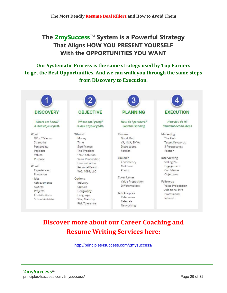### **The 2mySuccess**TM **System is a Powerful Strategy That Aligns HOW YOU PRESENT YOURSELF With the OPPORTUNITIES YOU WANT**

#### **Our Systematic Process is the same strategy used by Top Earners to get the Best Opportunities. And we can walk you through the same steps from Discovery to Execution.**



### **Discover more about our Career Coaching and Resume Writing Services here:**

<http://principles4success.com/2mysuccess/>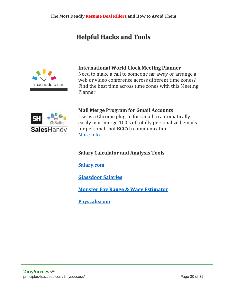### **Helpful Hacks and Tools**



#### **International World Clock Meeting Planner**

Need to make a call to someone far away or arrange a web or video conference across different time zones? Find the best time across time zones with this Meeting Planner.



**Mail Merge Program for Gmail Accounts** Use as a Chrome plug-in for Gmail to automatically easily mail-merge 100's of totally personalized emails for personal (not BCC'd) communication.

[More Info](https://saleshandy.grsm.io/MarkGalvan)

#### **Salary Calculator and Analysis Tools**

**[Salary.com](https://www.salary.com/)**

**[Glassdoor Salaries](https://www.glassdoor.com/Salaries/index.htm)**

**[Monster Pay Range & Wage Estimator](https://www.monster.com/salary/)**

**[Payscale.com](https://www.payscale.com/salary-calculator)**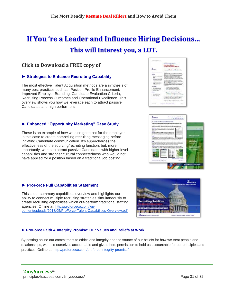### **If You 're a Leader and Influence Hiring Decisions… This will Interest you, a LOT.**

#### **Click to Download a FREE copy of**

#### **► Strategies to Enhance Recruiting Capability**

The most effective Talent Acquisition methods are a synthesis of many best practices such as, Position Profile Enhancement, Improved Employer Branding, Candidate Evaluation Criteria, Recruiting Process Outcomes and Operational Excellence. This overview shows you how we leverage each to attract passive Candidates and high performers.

#### **► Enhanced "Opportunity Marketing" Case Study**

These is an example of how we also go to bat for the employer – in this case to create compelling recruiting messaging before initiating Candidate communication. It's supercharges the effectiveness of the sourcing/recruiting function; but, more importantly, works to attract passive Candidates with higher level capabilities and stronger cultural connectedness who would not have applied for a position based on a traditional job posting.

#### **► ProForce Full Capabilities Statement**

This is our summary capabilities overview and highlights our ability to connect multiple recruiting strategies simultaneously to create recruiting capabilities which out-perform traditional staffing agencies. Online at: [http://proforceco.com/wp](https://track.saleshandy.com/sh-trk-112p68p/r/e/8pkbkc9qvokINWxV?r=http://proforceco.com/wp-content/uploads/2018/05/ProForce-Talent-Capabilities-Overview.pdf)[content/uploads/2018/05/ProForce-Talent-Capabilities-Overview.pdf](https://track.saleshandy.com/sh-trk-112p68p/r/e/8pkbkc9qvokINWxV?r=http://proforceco.com/wp-content/uploads/2018/05/ProForce-Talent-Capabilities-Overview.pdf)

#### **► ProForce Faith & Integrity Promise: Our Values and Beliefs at Work**

By posting online our commitment to ethics and integrity and the source of our beliefs for how we treat people and relationships, we hold ourselves accountable and give others permission to hold us accountable for our principles and practices. Online at: [http://proforceco.com/proforce-integrity-promise/](https://track.saleshandy.com/sh-trk-112p68p/r/e/DRQ9QTxboNRf2wrK?r=http://proforceco.com/proforce-integrity-promise/)